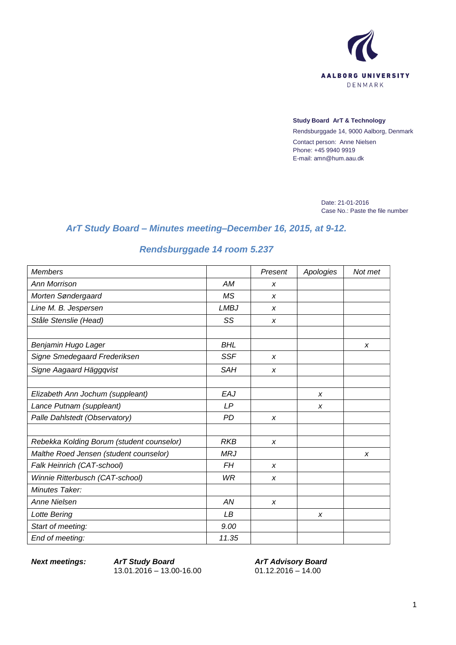

#### **Study Board ArT & Technology**

Rendsburggade 14, 9000 Aalborg, Denmark Contact person: Anne Nielsen Phone: +45 9940 9919 E-mail: amn@hum.aau.dk

> Date: 21-01-2016 Case No.: Paste the file number

## *ArT Study Board – Minutes meeting–December 16, 2015, at 9-12.*

# *Rendsburggade 14 room 5.237*

| <b>Members</b>                            |             | Present          | Apologies | Not met |
|-------------------------------------------|-------------|------------------|-----------|---------|
| Ann Morrison                              | АM          | X                |           |         |
| Morten Søndergaard                        | <b>MS</b>   | $\boldsymbol{x}$ |           |         |
| Line M. B. Jespersen                      | <b>LMBJ</b> | $\boldsymbol{x}$ |           |         |
| Ståle Stenslie (Head)                     | SS          | x                |           |         |
| Benjamin Hugo Lager                       | <b>BHL</b>  |                  |           | X       |
| Signe Smedegaard Frederiksen              | <b>SSF</b>  | $\boldsymbol{x}$ |           |         |
| Signe Aagaard Häggqvist                   | <b>SAH</b>  | X                |           |         |
| Elizabeth Ann Jochum (suppleant)          | EAJ         |                  | X         |         |
| Lance Putnam (suppleant)                  | LP          |                  | X         |         |
| Palle Dahlstedt (Observatory)             | <b>PD</b>   | X                |           |         |
| Rebekka Kolding Borum (student counselor) | <b>RKB</b>  | $\boldsymbol{x}$ |           |         |
| Malthe Roed Jensen (student counselor)    | <b>MRJ</b>  |                  |           | X       |
| Falk Heinrich (CAT-school)                | FH          | X                |           |         |
| Winnie Ritterbusch (CAT-school)           | WR          | X                |           |         |
| Minutes Taker:                            |             |                  |           |         |
| <b>Anne Nielsen</b>                       | AN          | $\boldsymbol{x}$ |           |         |
| Lotte Bering                              | LB          |                  | X         |         |
| Start of meeting:                         | 9.00        |                  |           |         |
| End of meeting:                           | 11.35       |                  |           |         |

*Next meetings: ArT Study Board* 13.01.2016 – 13.00-16.00

*ArT Advisory Board*  $01.12.2016 - 14.00$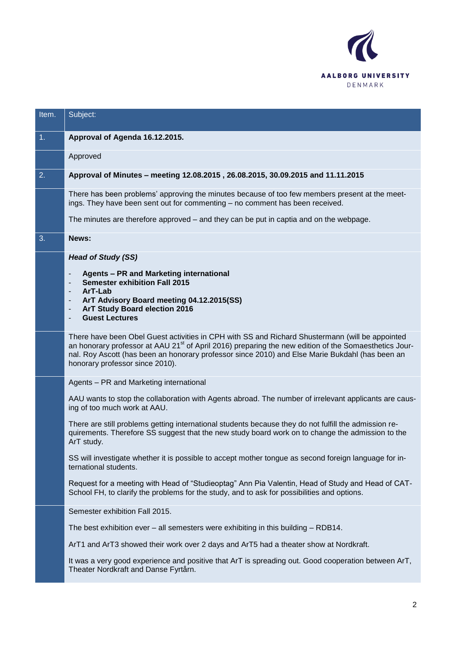

| 1.                                                   | Approval of Agenda 16.12.2015.                                                                                                                                                                                                                                                                                                                             |
|------------------------------------------------------|------------------------------------------------------------------------------------------------------------------------------------------------------------------------------------------------------------------------------------------------------------------------------------------------------------------------------------------------------------|
|                                                      | Approved                                                                                                                                                                                                                                                                                                                                                   |
| 2.                                                   | Approval of Minutes - meeting 12.08.2015, 26.08.2015, 30.09.2015 and 11.11.2015                                                                                                                                                                                                                                                                            |
|                                                      | There has been problems' approving the minutes because of too few members present at the meet-<br>ings. They have been sent out for commenting - no comment has been received.                                                                                                                                                                             |
|                                                      | The minutes are therefore approved $-$ and they can be put in captia and on the webpage.                                                                                                                                                                                                                                                                   |
| 3.                                                   | News:                                                                                                                                                                                                                                                                                                                                                      |
|                                                      | <b>Head of Study (SS)</b>                                                                                                                                                                                                                                                                                                                                  |
|                                                      | Agents - PR and Marketing international<br><b>Semester exhibition Fall 2015</b>                                                                                                                                                                                                                                                                            |
|                                                      | ArT-Lab<br>ArT Advisory Board meeting 04.12.2015(SS)                                                                                                                                                                                                                                                                                                       |
| $\overline{\phantom{a}}$<br>$\overline{\phantom{a}}$ | ArT Study Board election 2016<br><b>Guest Lectures</b>                                                                                                                                                                                                                                                                                                     |
|                                                      | There have been Obel Guest activities in CPH with SS and Richard Shustermann (will be appointed<br>an honorary professor at AAU 21 <sup>st</sup> of April 2016) preparing the new edition of the Somaesthetics Jour-<br>nal. Roy Ascott (has been an honorary professor since 2010) and Else Marie Bukdahl (has been an<br>honorary professor since 2010). |
|                                                      | Agents - PR and Marketing international                                                                                                                                                                                                                                                                                                                    |
|                                                      | AAU wants to stop the collaboration with Agents abroad. The number of irrelevant applicants are caus-<br>ing of too much work at AAU.                                                                                                                                                                                                                      |
|                                                      | There are still problems getting international students because they do not fulfill the admission re-<br>quirements. Therefore SS suggest that the new study board work on to change the admission to the<br>ArT study.                                                                                                                                    |
|                                                      | SS will investigate whether it is possible to accept mother tongue as second foreign language for in-<br>ternational students.                                                                                                                                                                                                                             |
|                                                      | Request for a meeting with Head of "Studieoptag" Ann Pia Valentin, Head of Study and Head of CAT-<br>School FH, to clarify the problems for the study, and to ask for possibilities and options.                                                                                                                                                           |
|                                                      | Semester exhibition Fall 2015.                                                                                                                                                                                                                                                                                                                             |
|                                                      | The best exhibition ever $-$ all semesters were exhibiting in this building $-$ RDB14.                                                                                                                                                                                                                                                                     |
|                                                      | ArT1 and ArT3 showed their work over 2 days and ArT5 had a theater show at Nordkraft.                                                                                                                                                                                                                                                                      |
|                                                      | It was a very good experience and positive that ArT is spreading out. Good cooperation between ArT,<br>Theater Nordkraft and Danse Fyrtårn.                                                                                                                                                                                                                |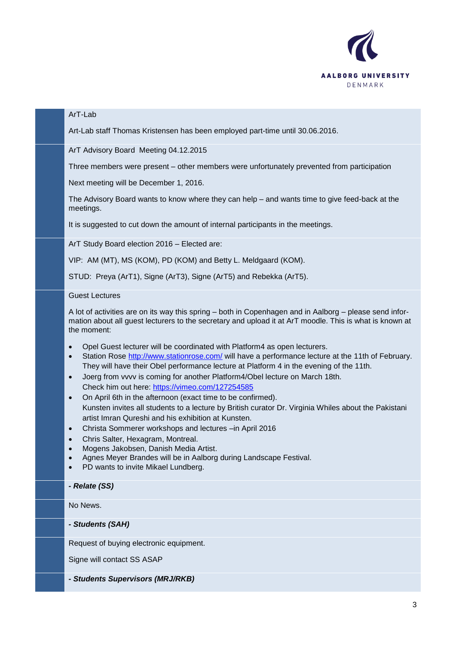

### ArT-Lab

Art-Lab staff Thomas Kristensen has been employed part-time until 30.06.2016.

ArT Advisory Board Meeting 04.12.2015

Three members were present – other members were unfortunately prevented from participation

Next meeting will be December 1, 2016.

The Advisory Board wants to know where they can help – and wants time to give feed-back at the meetings.

It is suggested to cut down the amount of internal participants in the meetings.

ArT Study Board election 2016 – Elected are:

VIP: AM (MT), MS (KOM), PD (KOM) and Betty L. Meldgaard (KOM).

STUD: Preya (ArT1), Signe (ArT3), Signe (ArT5) and Rebekka (ArT5).

### Guest Lectures

A lot of activities are on its way this spring – both in Copenhagen and in Aalborg – please send information about all guest lecturers to the secretary and upload it at ArT moodle. This is what is known at the moment:

- Opel Guest lecturer will be coordinated with Platform4 as open lecturers.
- Station Rose<http://www.stationrose.com/> will have a performance lecture at the 11th of February. They will have their Obel performance lecture at Platform 4 in the evening of the 11th.
- Joerg from vvvv is coming for another Platform4/Obel lecture on March 18th. Check him out here:<https://vimeo.com/127254585>
- On April 6th in the afternoon (exact time to be confirmed). Kunsten invites all students to a lecture by British curator Dr. Virginia Whiles about the Pakistani artist Imran Qureshi and his exhibition at Kunsten.
- Christa Sommerer workshops and lectures –in April 2016
- Chris Salter, Hexagram, Montreal.
- Mogens Jakobsen, Danish Media Artist.
- Agnes Meyer Brandes will be in Aalborg during Landscape Festival.
- PD wants to invite Mikael Lundberg.

*- Relate (SS)*

No News.

*- Students (SAH)*

Request of buying electronic equipment.

Signe will contact SS ASAP

*- Students Supervisors (MRJ/RKB)*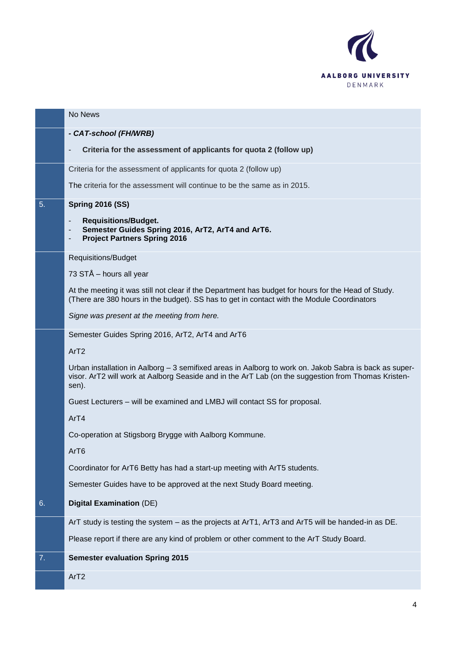

|    | No News                                                                                                                                                                                                                |
|----|------------------------------------------------------------------------------------------------------------------------------------------------------------------------------------------------------------------------|
|    | - CAT-school (FH/WRB)                                                                                                                                                                                                  |
|    | Criteria for the assessment of applicants for quota 2 (follow up)                                                                                                                                                      |
|    | Criteria for the assessment of applicants for quota 2 (follow up)                                                                                                                                                      |
|    | The criteria for the assessment will continue to be the same as in 2015.                                                                                                                                               |
| 5. | <b>Spring 2016 (SS)</b>                                                                                                                                                                                                |
|    | <b>Requisitions/Budget.</b><br>$\overline{\phantom{a}}$<br>Semester Guides Spring 2016, ArT2, ArT4 and ArT6.<br><b>Project Partners Spring 2016</b><br>-                                                               |
|    | Requisitions/Budget                                                                                                                                                                                                    |
|    | 73 STÅ – hours all year                                                                                                                                                                                                |
|    | At the meeting it was still not clear if the Department has budget for hours for the Head of Study.<br>(There are 380 hours in the budget). SS has to get in contact with the Module Coordinators                      |
|    | Signe was present at the meeting from here.                                                                                                                                                                            |
|    | Semester Guides Spring 2016, ArT2, ArT4 and ArT6                                                                                                                                                                       |
|    | ArT <sub>2</sub>                                                                                                                                                                                                       |
|    | Urban installation in Aalborg - 3 semifixed areas in Aalborg to work on. Jakob Sabra is back as super-<br>visor. ArT2 will work at Aalborg Seaside and in the ArT Lab (on the suggestion from Thomas Kristen-<br>sen). |
|    | Guest Lecturers - will be examined and LMBJ will contact SS for proposal.                                                                                                                                              |
|    | Ar <sub>T4</sub>                                                                                                                                                                                                       |
|    | Co-operation at Stigsborg Brygge with Aalborg Kommune.                                                                                                                                                                 |
|    | Ar <sub>T6</sub>                                                                                                                                                                                                       |
|    | Coordinator for ArT6 Betty has had a start-up meeting with ArT5 students.                                                                                                                                              |
|    | Semester Guides have to be approved at the next Study Board meeting.                                                                                                                                                   |
| 6. | <b>Digital Examination (DE)</b>                                                                                                                                                                                        |
|    | ArT study is testing the system – as the projects at ArT1, ArT3 and ArT5 will be handed-in as DE.                                                                                                                      |
|    | Please report if there are any kind of problem or other comment to the ArT Study Board.                                                                                                                                |
| 7. | <b>Semester evaluation Spring 2015</b>                                                                                                                                                                                 |
|    | ArT <sub>2</sub>                                                                                                                                                                                                       |